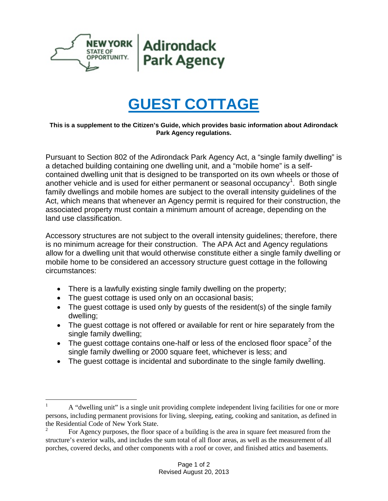

## **GUEST COTTAGE**

## **This is a supplement to the Citizen's Guide, which provides basic information about Adirondack Park Agency regulations.**

Pursuant to Section 802 of the Adirondack Park Agency Act, a "single family dwelling" is a detached building containing one dwelling unit, and a "mobile home" is a selfcontained dwelling unit that is designed to be transported on its own wheels or those of another vehicle and is used for either permanent or seasonal occupancy<sup>[1](#page-0-0)</sup>. Both single family dwellings and mobile homes are subject to the overall intensity guidelines of the Act, which means that whenever an Agency permit is required for their construction, the associated property must contain a minimum amount of acreage, depending on the land use classification.

Accessory structures are not subject to the overall intensity guidelines; therefore, there is no minimum acreage for their construction. The APA Act and Agency regulations allow for a dwelling unit that would otherwise constitute either a single family dwelling or mobile home to be considered an accessory structure guest cottage in the following circumstances:

- There is a lawfully existing single family dwelling on the property;
- The guest cottage is used only on an occasional basis;
- The quest cottage is used only by quests of the resident(s) of the single family dwelling;
- The guest cottage is not offered or available for rent or hire separately from the single family dwelling;
- The guest cottage contains one-half or less of the enclosed floor space<sup>[2](#page-0-1)</sup> of the single family dwelling or 2000 square feet, whichever is less; and
- The guest cottage is incidental and subordinate to the single family dwelling.

<span id="page-0-0"></span> <sup>1</sup> <sup>A</sup> "dwelling unit" is a single unit providing complete independent living facilities for one or more persons, including permanent provisions for living, sleeping, eating, cooking and sanitation, as defined in the Residential Code of New York State.

<span id="page-0-1"></span><sup>2</sup> For Agency purposes, the floor space of a building is the area in square feet measured from the structure's exterior walls, and includes the sum total of all floor areas, as well as the measurement of all porches, covered decks, and other components with a roof or cover, and finished attics and basements.